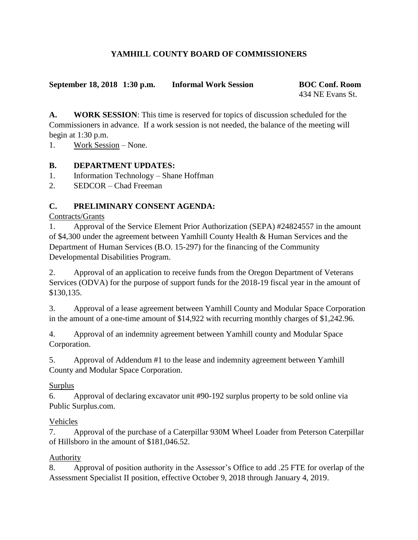## **YAMHILL COUNTY BOARD OF COMMISSIONERS**

#### **September 18, 2018 1:30 p.m. Informal Work Session BOC Conf. Room**

434 NE Evans St.

**A. WORK SESSION**: This time is reserved for topics of discussion scheduled for the Commissioners in advance. If a work session is not needed, the balance of the meeting will begin at 1:30 p.m.

1. Work Session – None.

### **B. DEPARTMENT UPDATES:**

1. Information Technology – Shane Hoffman

2. SEDCOR – Chad Freeman

## **C. PRELIMINARY CONSENT AGENDA:**

Contracts/Grants

1. Approval of the Service Element Prior Authorization (SEPA) #24824557 in the amount of \$4,300 under the agreement between Yamhill County Health & Human Services and the Department of Human Services (B.O. 15-297) for the financing of the Community Developmental Disabilities Program.

2. Approval of an application to receive funds from the Oregon Department of Veterans Services (ODVA) for the purpose of support funds for the 2018-19 fiscal year in the amount of \$130,135.

3. Approval of a lease agreement between Yamhill County and Modular Space Corporation in the amount of a one-time amount of \$14,922 with recurring monthly charges of \$1,242.96.

4. Approval of an indemnity agreement between Yamhill county and Modular Space Corporation.

5. Approval of Addendum #1 to the lease and indemnity agreement between Yamhill County and Modular Space Corporation.

### Surplus

6. Approval of declaring excavator unit #90-192 surplus property to be sold online via Public Surplus.com.

# Vehicles

7. Approval of the purchase of a Caterpillar 930M Wheel Loader from Peterson Caterpillar of Hillsboro in the amount of \$181,046.52.

# Authority

8. Approval of position authority in the Assessor's Office to add .25 FTE for overlap of the Assessment Specialist II position, effective October 9, 2018 through January 4, 2019.